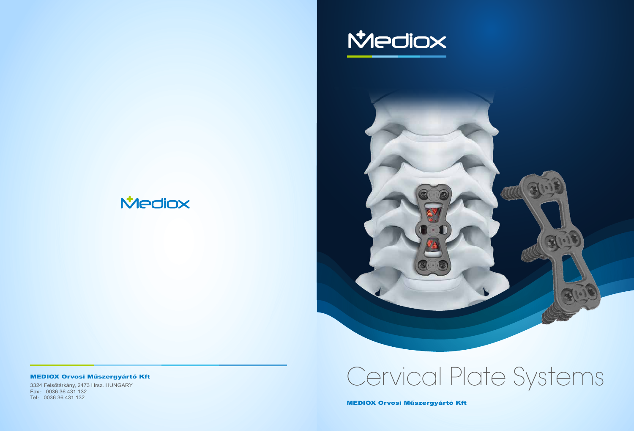3324 Felsőtárkány, 2473 Hrsz. HUNGARY Fax :0036 36 431 132 Tel :0036 36 431 132



# **Mediox**

## MEDIOX Orvosi Műszergyártó Kft

MEDIOX Orvosi Műszergyártó Kft